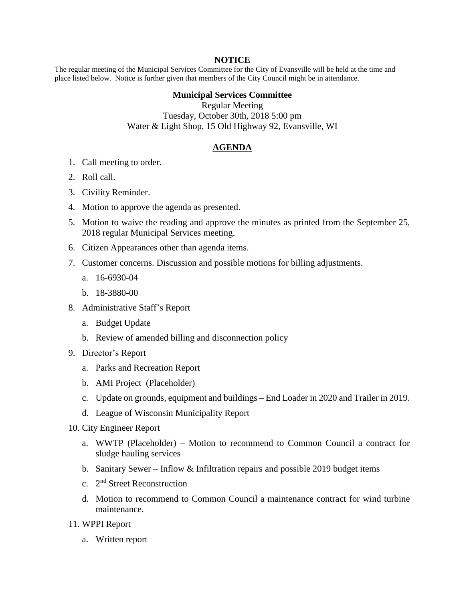#### **NOTICE**

The regular meeting of the Municipal Services Committee for the City of Evansville will be held at the time and place listed below. Notice is further given that members of the City Council might be in attendance.

### **Municipal Services Committee**

Regular Meeting Tuesday, October 30th, 2018 5:00 pm Water & Light Shop, 15 Old Highway 92, Evansville, WI

# **AGENDA**

- 1. Call meeting to order.
- 2. Roll call.
- 3. Civility Reminder.
- 4. Motion to approve the agenda as presented.
- 5. Motion to waive the reading and approve the minutes as printed from the September 25, 2018 regular Municipal Services meeting.
- 6. Citizen Appearances other than agenda items.
- 7. Customer concerns. Discussion and possible motions for billing adjustments.
	- a. 16-6930-04
	- b. 18-3880-00
- 8. Administrative Staff's Report
	- a. Budget Update
	- b. Review of amended billing and disconnection policy
- 9. Director's Report
	- a. Parks and Recreation Report
	- b. AMI Project (Placeholder)
	- c. Update on grounds, equipment and buildings End Loader in 2020 and Trailer in 2019.
	- d. League of Wisconsin Municipality Report
- 10. City Engineer Report
	- a. WWTP (Placeholder) Motion to recommend to Common Council a contract for sludge hauling services
	- b. Sanitary Sewer Inflow & Infiltration repairs and possible 2019 budget items
	- c. 2<sup>nd</sup> Street Reconstruction
	- d. Motion to recommend to Common Council a maintenance contract for wind turbine maintenance.
- 11. WPPI Report
	- a. Written report